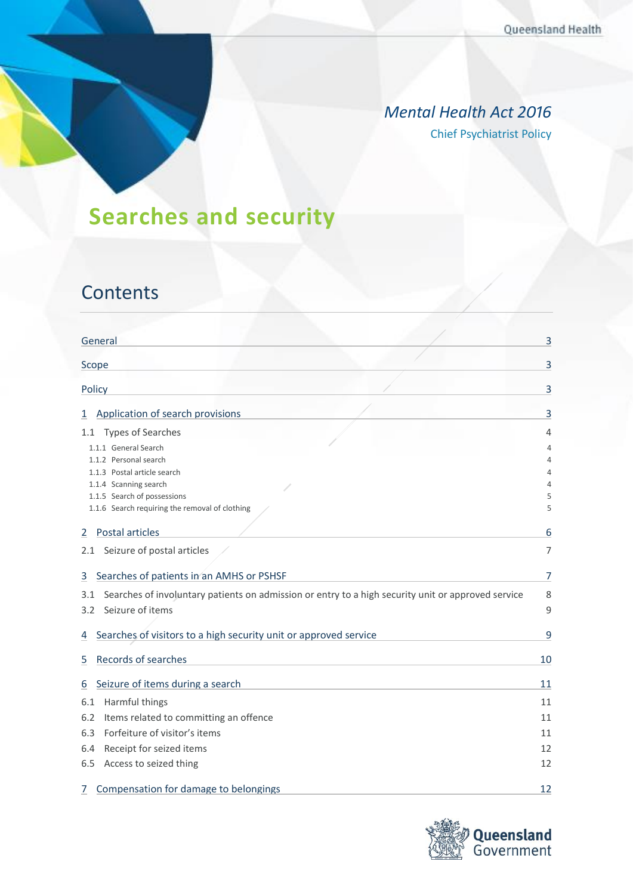### *Mental Health Act 2016* Chief Psychiatrist Policy

# **Searches and security**

## **Contents**

|        | General                                                                                            | 3  |
|--------|----------------------------------------------------------------------------------------------------|----|
| Scope  |                                                                                                    | 3  |
| Policy |                                                                                                    | 3  |
| 1      | Application of search provisions                                                                   | 3  |
| 1.1    | Types of Searches                                                                                  | 4  |
|        | 1.1.1 General Search                                                                               | 4  |
|        | 1.1.2 Personal search                                                                              | 4  |
|        | 1.1.3 Postal article search                                                                        | 4  |
|        | 1.1.4 Scanning search                                                                              | 4  |
|        | 1.1.5 Search of possessions                                                                        | 5  |
|        | 1.1.6 Search requiring the removal of clothing                                                     | 5  |
| 2      | Postal articles                                                                                    | 6  |
|        | 2.1 Seizure of postal articles                                                                     | 7  |
|        |                                                                                                    |    |
| 3      | Searches of patients in an AMHS or PSHSF                                                           | 7  |
| 3.1    | Searches of involuntary patients on admission or entry to a high security unit or approved service | 8  |
| 3.2    | Seizure of items                                                                                   | 9  |
|        |                                                                                                    |    |
| 4      | Searches of visitors to a high security unit or approved service                                   | 9  |
|        |                                                                                                    |    |
| 5      | Records of searches                                                                                | 10 |
| 6      | Seizure of items during a search                                                                   | 11 |
| 6.1    | Harmful things                                                                                     | 11 |
| 6.2    | Items related to committing an offence                                                             | 11 |
| 6.3    | Forfeiture of visitor's items                                                                      | 11 |
| 6.4    | Receipt for seized items                                                                           | 12 |
|        |                                                                                                    |    |
| 6.5    | Access to seized thing                                                                             | 12 |
| 7      | Compensation for damage to belongings                                                              | 12 |

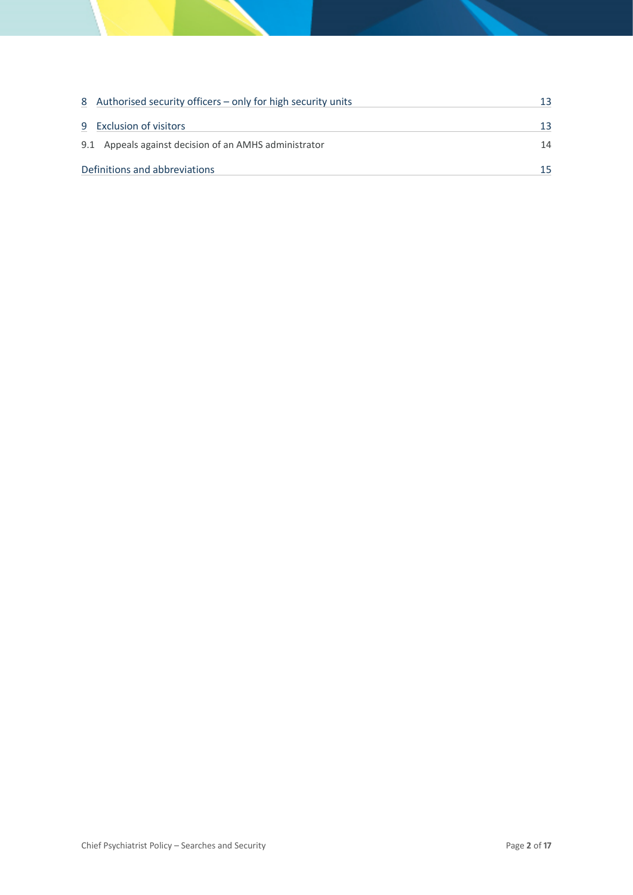|                               | 8 Authorised security officers – only for high security units | 13 |
|-------------------------------|---------------------------------------------------------------|----|
| 9 Exclusion of visitors       |                                                               | 13 |
|                               | 9.1 Appeals against decision of an AMHS administrator         | 14 |
| Definitions and abbreviations |                                                               |    |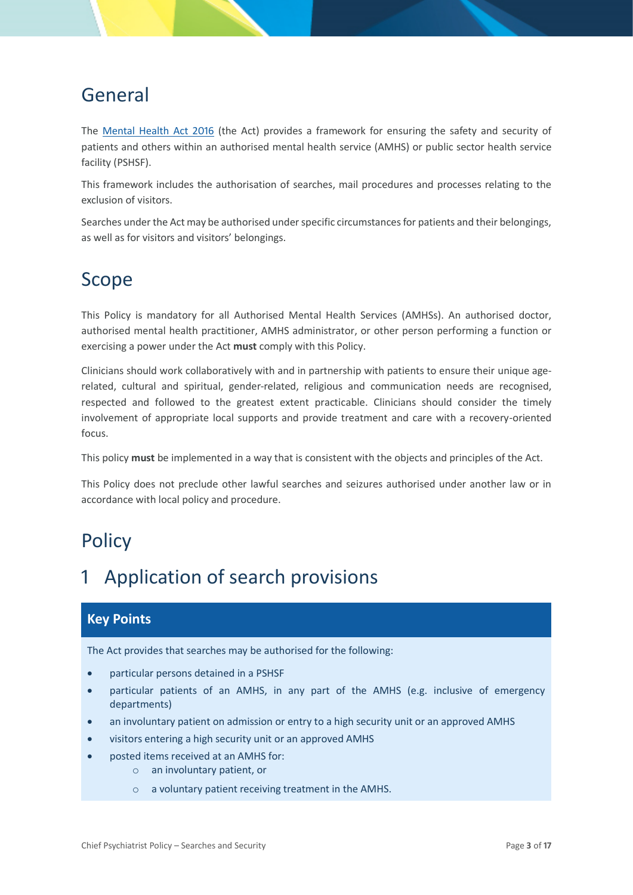## <span id="page-2-0"></span>General

The [Mental Health Act 2016](https://www.legislation.qld.gov.au/view/html/inforce/current/act-2016-005) (the Act) provides a framework for ensuring the safety and security of patients and others within an authorised mental health service (AMHS) or public sector health service facility (PSHSF).

This framework includes the authorisation of searches, mail procedures and processes relating to the exclusion of visitors.

Searches under the Act may be authorised under specific circumstances for patients and their belongings, as well as for visitors and visitors' belongings.

### <span id="page-2-1"></span>Scope

This Policy is mandatory for all Authorised Mental Health Services (AMHSs). An authorised doctor, authorised mental health practitioner, AMHS administrator, or other person performing a function or exercising a power under the Act **must** comply with this Policy.

Clinicians should work collaboratively with and in partnership with patients to ensure their unique agerelated, cultural and spiritual, gender-related, religious and communication needs are recognised, respected and followed to the greatest extent practicable. Clinicians should consider the timely involvement of appropriate local supports and provide treatment and care with a recovery-oriented focus.

This policy **must** be implemented in a way that is consistent with the objects and principles of the Act.

This Policy does not preclude other lawful searches and seizures authorised under another law or in accordance with local policy and procedure.

## <span id="page-2-2"></span>**Policy**

## <span id="page-2-3"></span>Application of search provisions

### **Key Points**

The Act provides that searches may be authorised for the following:

- particular persons detained in a PSHSF
- particular patients of an AMHS, in any part of the AMHS (e.g. inclusive of emergency departments)
- an involuntary patient on admission or entry to a high security unit or an approved AMHS
- visitors entering a high security unit or an approved AMHS
- posted items received at an AMHS for:
	- o an involuntary patient, or
	- o a voluntary patient receiving treatment in the AMHS.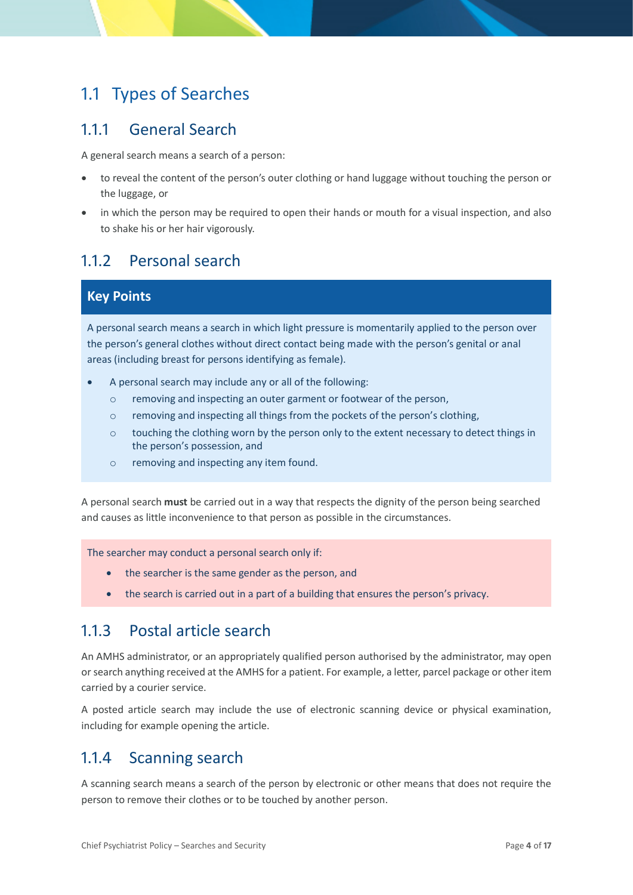### <span id="page-3-0"></span>1.1 Types of Searches

### <span id="page-3-1"></span>1.1.1 General Search

A general search means a search of a person:

- to reveal the content of the person's outer clothing or hand luggage without touching the person or the luggage, or
- in which the person may be required to open their hands or mouth for a visual inspection, and also to shake his or her hair vigorously.

### <span id="page-3-2"></span>1.1.2 Personal search

#### **Key Points**

A personal search means a search in which light pressure is momentarily applied to the person over the person's general clothes without direct contact being made with the person's genital or anal areas (including breast for persons identifying as female).

- A personal search may include any or all of the following:
	- o removing and inspecting an outer garment or footwear of the person,
	- $\circ$  removing and inspecting all things from the pockets of the person's clothing,
	- $\circ$  touching the clothing worn by the person only to the extent necessary to detect things in the person's possession, and
	- o removing and inspecting any item found.

A personal search **must** be carried out in a way that respects the dignity of the person being searched and causes as little inconvenience to that person as possible in the circumstances.

The searcher may conduct a personal search only if:

- the searcher is the same gender as the person, and
- the search is carried out in a part of a building that ensures the person's privacy.

### <span id="page-3-3"></span>1.1.3 Postal article search

An AMHS administrator, or an appropriately qualified person authorised by the administrator, may open or search anything received at the AMHS for a patient. For example, a letter, parcel package or other item carried by a courier service.

A posted article search may include the use of electronic scanning device or physical examination, including for example opening the article.

### <span id="page-3-4"></span>1.1.4 Scanning search

A scanning search means a search of the person by electronic or other means that does not require the person to remove their clothes or to be touched by another person.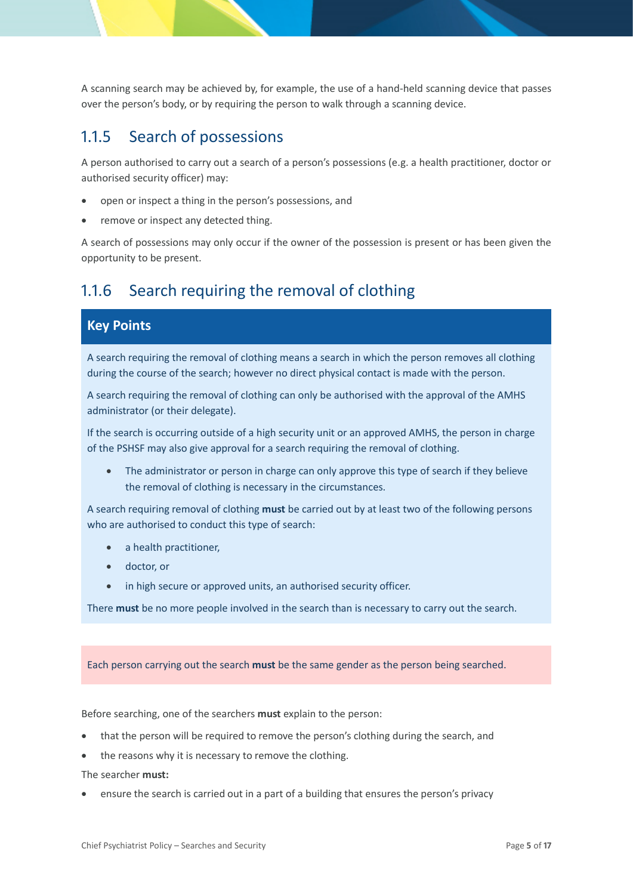A scanning search may be achieved by, for example, the use of a hand-held scanning device that passes over the person's body, or by requiring the person to walk through a scanning device.

### <span id="page-4-0"></span>1.1.5 Search of possessions

A person authorised to carry out a search of a person's possessions (e.g. a health practitioner, doctor or authorised security officer) may:

- open or inspect a thing in the person's possessions, and
- remove or inspect any detected thing.

A search of possessions may only occur if the owner of the possession is present or has been given the opportunity to be present.

### <span id="page-4-1"></span>1.1.6 Search requiring the removal of clothing

### **Key Points**

A search requiring the removal of clothing means a search in which the person removes all clothing during the course of the search; however no direct physical contact is made with the person.

A search requiring the removal of clothing can only be authorised with the approval of the AMHS administrator (or their delegate).

If the search is occurring outside of a high security unit or an approved AMHS, the person in charge of the PSHSF may also give approval for a search requiring the removal of clothing.

The administrator or person in charge can only approve this type of search if they believe the removal of clothing is necessary in the circumstances.

A search requiring removal of clothing **must** be carried out by at least two of the following persons who are authorised to conduct this type of search:

- a health practitioner,
- doctor, or
- in high secure or approved units, an authorised security officer.

There **must** be no more people involved in the search than is necessary to carry out the search.

#### Each person carrying out the search **must** be the same gender as the person being searched.

Before searching, one of the searchers **must** explain to the person:

- that the person will be required to remove the person's clothing during the search, and
- the reasons why it is necessary to remove the clothing.

The searcher **must:**

• ensure the search is carried out in a part of a building that ensures the person's privacy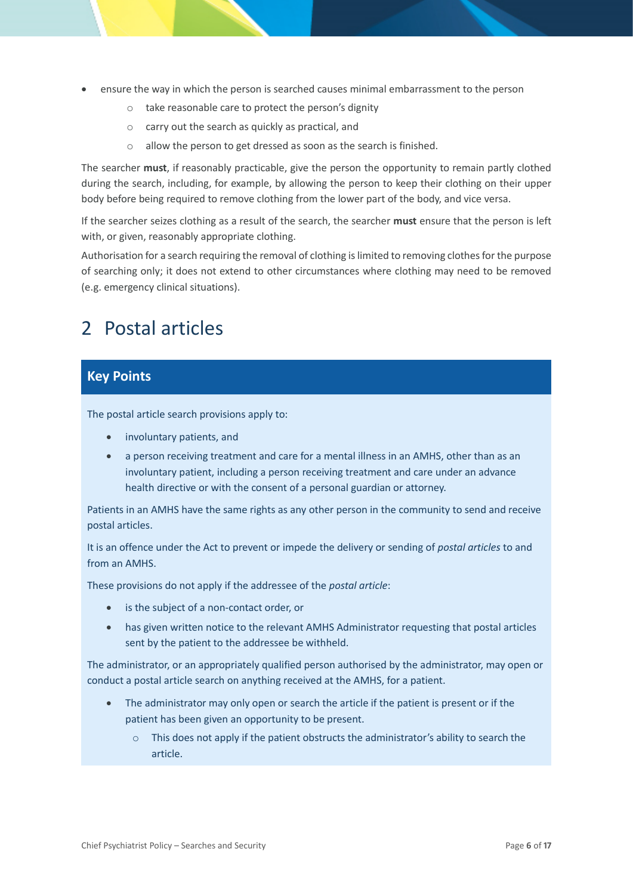- ensure the way in which the person is searched causes minimal embarrassment to the person
	- o take reasonable care to protect the person's dignity
	- o carry out the search as quickly as practical, and
	- o allow the person to get dressed as soon as the search is finished.

The searcher **must**, if reasonably practicable, give the person the opportunity to remain partly clothed during the search, including, for example, by allowing the person to keep their clothing on their upper body before being required to remove clothing from the lower part of the body, and vice versa.

If the searcher seizes clothing as a result of the search, the searcher **must** ensure that the person is left with, or given, reasonably appropriate clothing.

Authorisation for a search requiring the removal of clothing is limited to removing clothes for the purpose of searching only; it does not extend to other circumstances where clothing may need to be removed (e.g. emergency clinical situations).

### <span id="page-5-0"></span>2 Postal articles

#### **Key Points**

The postal article search provisions apply to:

- involuntary patients, and
- a person receiving treatment and care for a mental illness in an AMHS, other than as an involuntary patient, including a person receiving treatment and care under an advance health directive or with the consent of a personal guardian or attorney.

Patients in an AMHS have the same rights as any other person in the community to send and receive postal articles.

It is an offence under the Act to prevent or impede the delivery or sending of *postal articles* to and from an AMHS.

These provisions do not apply if the addressee of the *postal article*:

- is the subject of a non-contact order, or
- has given written notice to the relevant AMHS Administrator requesting that postal articles sent by the patient to the addressee be withheld.

The administrator, or an appropriately qualified person authorised by the administrator, may open or conduct a postal article search on anything received at the AMHS, for a patient.

- The administrator may only open or search the article if the patient is present or if the patient has been given an opportunity to be present.
	- o This does not apply if the patient obstructs the administrator's ability to search the article.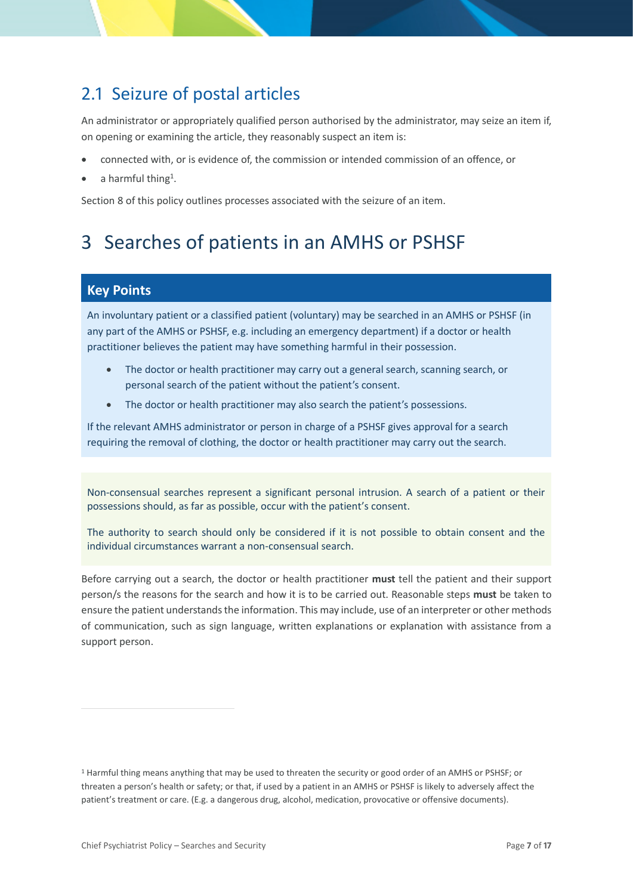### <span id="page-6-0"></span>2.1 Seizure of postal articles

An administrator or appropriately qualified person authorised by the administrator, may seize an item if, on opening or examining the article, they reasonably suspect an item is:

- connected with, or is evidence of, the commission or intended commission of an offence, or
- $\bullet$  a harmful thing<sup>1</sup>.

Section 8 of this policy outlines processes associated with the seizure of an item.

## <span id="page-6-1"></span>3 Searches of patients in an AMHS or PSHSF

#### **Key Points**

An involuntary patient or a classified patient (voluntary) may be searched in an AMHS or PSHSF (in any part of the AMHS or PSHSF, e.g. including an emergency department) if a doctor or health practitioner believes the patient may have something harmful in their possession.

- The doctor or health practitioner may carry out a general search, scanning search, or personal search of the patient without the patient's consent.
- The doctor or health practitioner may also search the patient's possessions.

If the relevant AMHS administrator or person in charge of a PSHSF gives approval for a search requiring the removal of clothing, the doctor or health practitioner may carry out the search.

Non-consensual searches represent a significant personal intrusion. A search of a patient or their possessions should, as far as possible, occur with the patient's consent.

The authority to search should only be considered if it is not possible to obtain consent and the individual circumstances warrant a non-consensual search.

Before carrying out a search, the doctor or health practitioner **must** tell the patient and their support person/s the reasons for the search and how it is to be carried out. Reasonable steps **must** be taken to ensure the patient understands the information. This may include, use of an interpreter or other methods of communication, such as sign language, written explanations or explanation with assistance from a support person.

<sup>1</sup> Harmful thing means anything that may be used to threaten the security or good order of an AMHS or PSHSF; or threaten a person's health or safety; or that, if used by a patient in an AMHS or PSHSF is likely to adversely affect the patient's treatment or care. (E.g. a dangerous drug, alcohol, medication, provocative or offensive documents).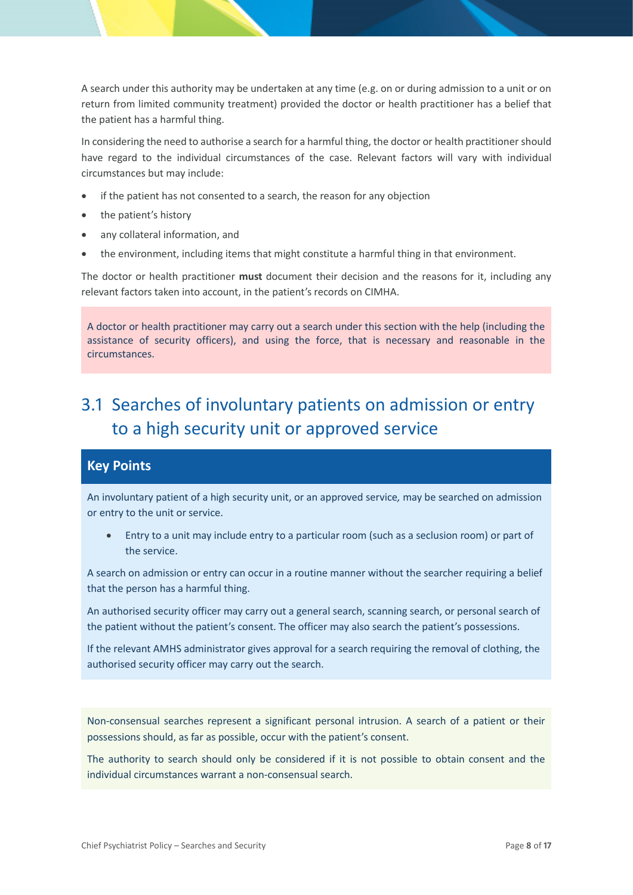A search under this authority may be undertaken at any time (e.g. on or during admission to a unit or on return from limited community treatment) provided the doctor or health practitioner has a belief that the patient has a harmful thing.

In considering the need to authorise a search for a harmful thing, the doctor or health practitioner should have regard to the individual circumstances of the case. Relevant factors will vary with individual circumstances but may include:

- if the patient has not consented to a search, the reason for any objection
- the patient's history
- any collateral information, and
- the environment, including items that might constitute a harmful thing in that environment.

The doctor or health practitioner **must** document their decision and the reasons for it, including any relevant factors taken into account, in the patient's records on CIMHA.

A doctor or health practitioner may carry out a search under this section with the help (including the assistance of security officers), and using the force, that is necessary and reasonable in the circumstances.

## <span id="page-7-0"></span>3.1 Searches of involuntary patients on admission or entry to a high security unit or approved service

#### **Key Points**

An involuntary patient of a high security unit, or an approved service*,* may be searched on admission or entry to the unit or service.

• Entry to a unit may include entry to a particular room (such as a seclusion room) or part of the service.

A search on admission or entry can occur in a routine manner without the searcher requiring a belief that the person has a harmful thing.

An authorised security officer may carry out a general search, scanning search, or personal search of the patient without the patient's consent. The officer may also search the patient's possessions.

If the relevant AMHS administrator gives approval for a search requiring the removal of clothing, the authorised security officer may carry out the search.

Non-consensual searches represent a significant personal intrusion. A search of a patient or their possessions should, as far as possible, occur with the patient's consent.

The authority to search should only be considered if it is not possible to obtain consent and the individual circumstances warrant a non-consensual search.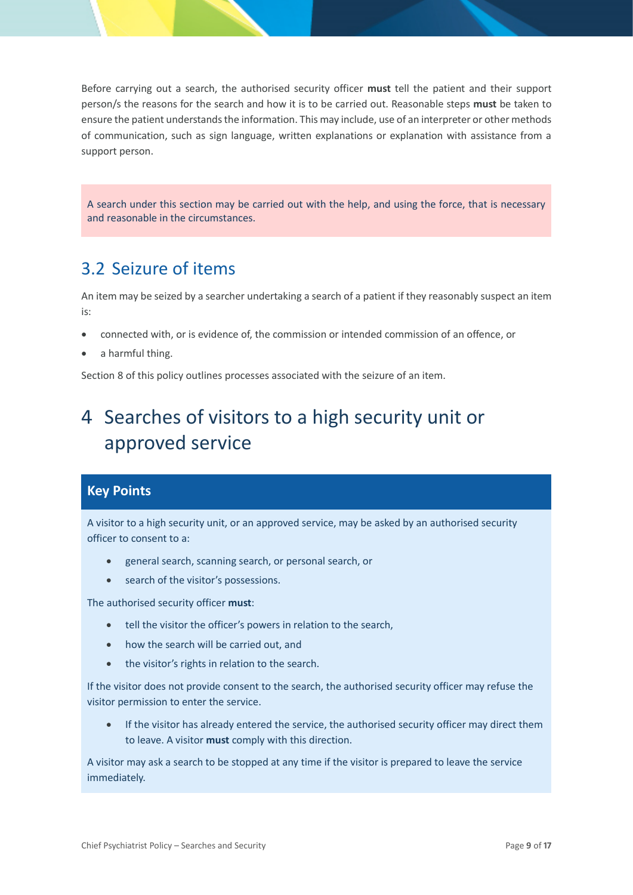Before carrying out a search, the authorised security officer **must** tell the patient and their support person/s the reasons for the search and how it is to be carried out. Reasonable steps **must** be taken to ensure the patient understands the information. This may include, use of an interpreter or other methods of communication, such as sign language, written explanations or explanation with assistance from a support person.

A search under this section may be carried out with the help, and using the force, that is necessary and reasonable in the circumstances.

### <span id="page-8-0"></span>3.2 Seizure of items

An item may be seized by a searcher undertaking a search of a patient if they reasonably suspect an item is:

- connected with, or is evidence of, the commission or intended commission of an offence, or
- a harmful thing.

Section 8 of this policy outlines processes associated with the seizure of an item.

## <span id="page-8-1"></span>4 Searches of visitors to a high security unit or approved service

#### **Key Points**

A visitor to a high security unit, or an approved service, may be asked by an authorised security officer to consent to a:

- general search, scanning search, or personal search, or
- search of the visitor's possessions.

The authorised security officer **must**:

- tell the visitor the officer's powers in relation to the search,
- how the search will be carried out, and
- the visitor's rights in relation to the search.

If the visitor does not provide consent to the search, the authorised security officer may refuse the visitor permission to enter the service.

If the visitor has already entered the service, the authorised security officer may direct them to leave. A visitor **must** comply with this direction.

A visitor may ask a search to be stopped at any time if the visitor is prepared to leave the service immediately.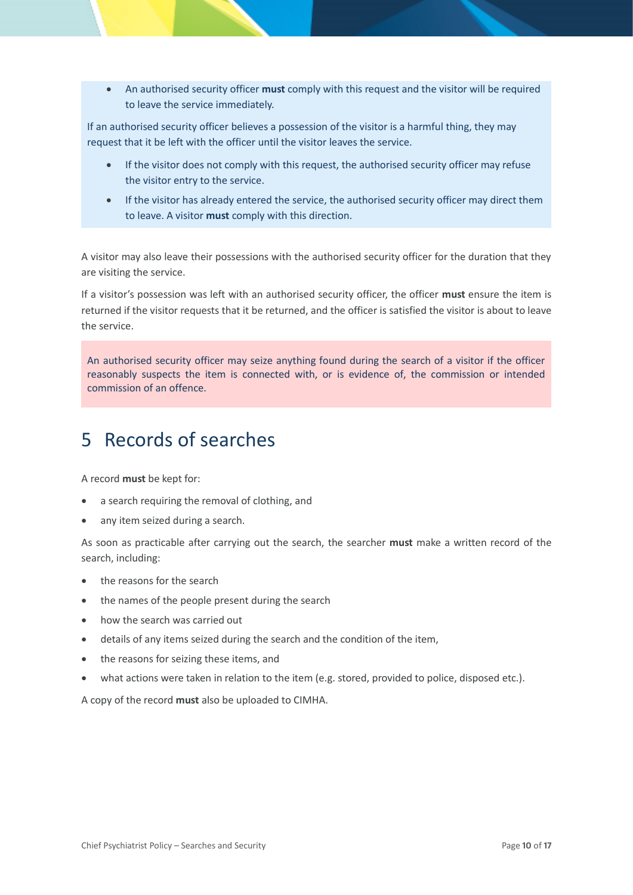• An authorised security officer **must** comply with this request and the visitor will be required to leave the service immediately.

If an authorised security officer believes a possession of the visitor is a harmful thing, they may request that it be left with the officer until the visitor leaves the service.

- If the visitor does not comply with this request, the authorised security officer may refuse the visitor entry to the service.
- If the visitor has already entered the service, the authorised security officer may direct them to leave. A visitor **must** comply with this direction.

A visitor may also leave their possessions with the authorised security officer for the duration that they are visiting the service.

If a visitor's possession was left with an authorised security officer, the officer **must** ensure the item is returned if the visitor requests that it be returned, and the officer is satisfied the visitor is about to leave the service.

An authorised security officer may seize anything found during the search of a visitor if the officer reasonably suspects the item is connected with, or is evidence of, the commission or intended commission of an offence.

## <span id="page-9-0"></span>5 Records of searches

A record **must** be kept for:

- a search requiring the removal of clothing, and
- any item seized during a search.

As soon as practicable after carrying out the search, the searcher **must** make a written record of the search, including:

- the reasons for the search
- the names of the people present during the search
- how the search was carried out
- details of any items seized during the search and the condition of the item,
- the reasons for seizing these items, and
- what actions were taken in relation to the item (e.g. stored, provided to police, disposed etc.).

A copy of the record **must** also be uploaded to CIMHA.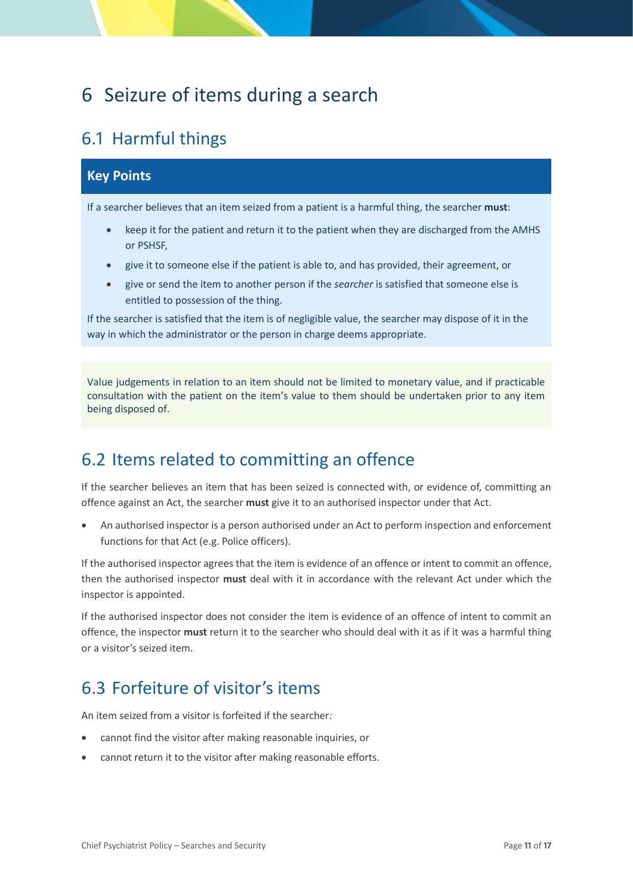## <span id="page-10-0"></span>6 Seizure of items during a search

### <span id="page-10-1"></span>6.1 Harmful things

#### **Key Points**

If a searcher believes that an item seized from a patient is a harmful thing, the searcher **must**:

- keep it for the patient and return it to the patient when they are discharged from the AMHS or PSHSF,
- give it to someone else if the patient is able to, and has provided, their agreement, or
- give or send the item to another person if the *searcher* is satisfied that someone else is entitled to possession of the thing.

If the searcher is satisfied that the item is of negligible value, the searcher may dispose of it in the way in which the administrator or the person in charge deems appropriate.

Value judgements in relation to an item should not be limited to monetary value, and if practicable consultation with the patient on the item's value to them should be undertaken prior to any item being disposed of.

### <span id="page-10-2"></span>6.2 Items related to committing an offence

If the searcher believes an item that has been seized is connected with, or evidence of, committing an offence against an Act, the searcher **must** give it to an authorised inspector under that Act.

• An authorised inspector is a person authorised under an Act to perform inspection and enforcement functions for that Act (e.g. Police officers).

If the authorised inspector agrees that the item is evidence of an offence or intent to commit an offence, then the authorised inspector **must** deal with it in accordance with the relevant Act under which the inspector is appointed.

If the authorised inspector does not consider the item is evidence of an offence of intent to commit an offence, the inspector **must** return it to the searcher who should deal with it as if it was a harmful thing or a visitor's seized item.

### <span id="page-10-3"></span>6.3 Forfeiture of visitor's items

An item seized from a visitor is forfeited if the searcher*:*

- cannot find the visitor after making reasonable inquiries, or
- cannot return it to the visitor after making reasonable efforts.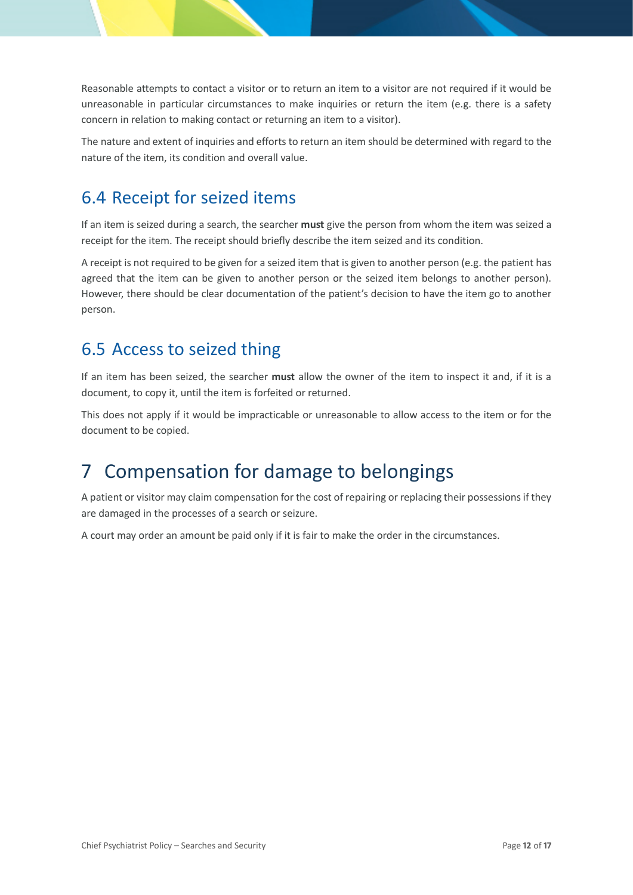Reasonable attempts to contact a visitor or to return an item to a visitor are not required if it would be unreasonable in particular circumstances to make inquiries or return the item (e.g. there is a safety concern in relation to making contact or returning an item to a visitor).

The nature and extent of inquiries and efforts to return an item should be determined with regard to the nature of the item, its condition and overall value.

### <span id="page-11-0"></span>6.4 Receipt for seized items

If an item is seized during a search, the searcher **must** give the person from whom the item was seized a receipt for the item. The receipt should briefly describe the item seized and its condition.

A receipt is not required to be given for a seized item that is given to another person (e.g. the patient has agreed that the item can be given to another person or the seized item belongs to another person). However, there should be clear documentation of the patient's decision to have the item go to another person.

### <span id="page-11-1"></span>6.5 Access to seized thing

If an item has been seized, the searcher **must** allow the owner of the item to inspect it and, if it is a document, to copy it, until the item is forfeited or returned.

This does not apply if it would be impracticable or unreasonable to allow access to the item or for the document to be copied.

## <span id="page-11-2"></span>7 Compensation for damage to belongings

A patient or visitor may claim compensation for the cost of repairing or replacing their possessions if they are damaged in the processes of a search or seizure.

A court may order an amount be paid only if it is fair to make the order in the circumstances.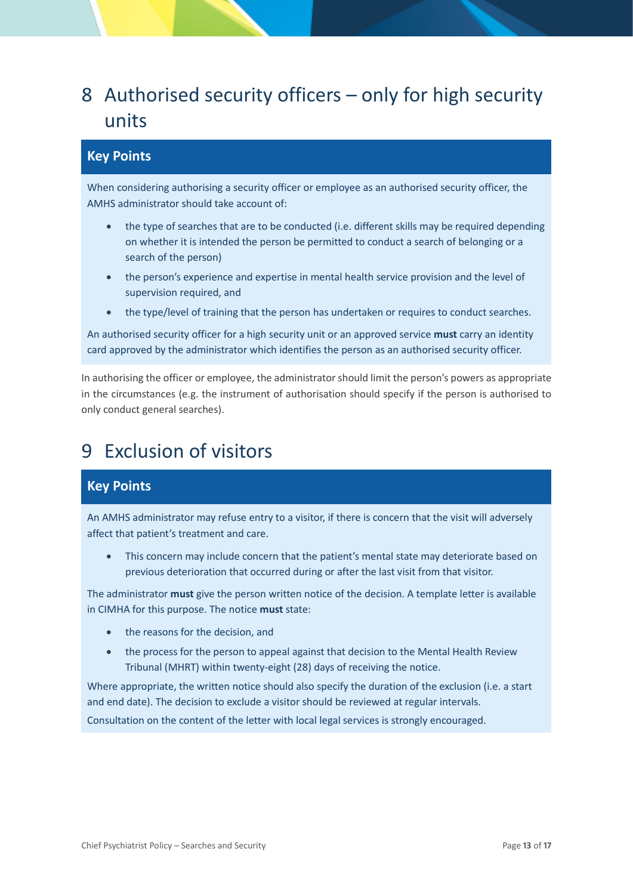## <span id="page-12-0"></span>8 Authorised security officers – only for high security units

#### **Key Points**

When considering authorising a security officer or employee as an authorised security officer, the AMHS administrator should take account of:

- the type of searches that are to be conducted (i.e. different skills may be required depending on whether it is intended the person be permitted to conduct a search of belonging or a search of the person)
- the person's experience and expertise in mental health service provision and the level of supervision required, and
- the type/level of training that the person has undertaken or requires to conduct searches.

An authorised security officer for a high security unit or an approved service **must** carry an identity card approved by the administrator which identifies the person as an authorised security officer.

In authorising the officer or employee, the administrator should limit the person's powers as appropriate in the circumstances (e.g. the instrument of authorisation should specify if the person is authorised to only conduct general searches).

## <span id="page-12-1"></span>9 Exclusion of visitors

#### **Key Points**

An AMHS administrator may refuse entry to a visitor, if there is concern that the visit will adversely affect that patient's treatment and care.

• This concern may include concern that the patient's mental state may deteriorate based on previous deterioration that occurred during or after the last visit from that visitor.

The administrator **must** give the person written notice of the decision. A template letter is available in CIMHA for this purpose. The notice **must** state:

- the reasons for the decision, and
- the process for the person to appeal against that decision to the Mental Health Review Tribunal (MHRT) within twenty-eight (28) days of receiving the notice.

Where appropriate, the written notice should also specify the duration of the exclusion (i.e. a start and end date). The decision to exclude a visitor should be reviewed at regular intervals.

Consultation on the content of the letter with local legal services is strongly encouraged.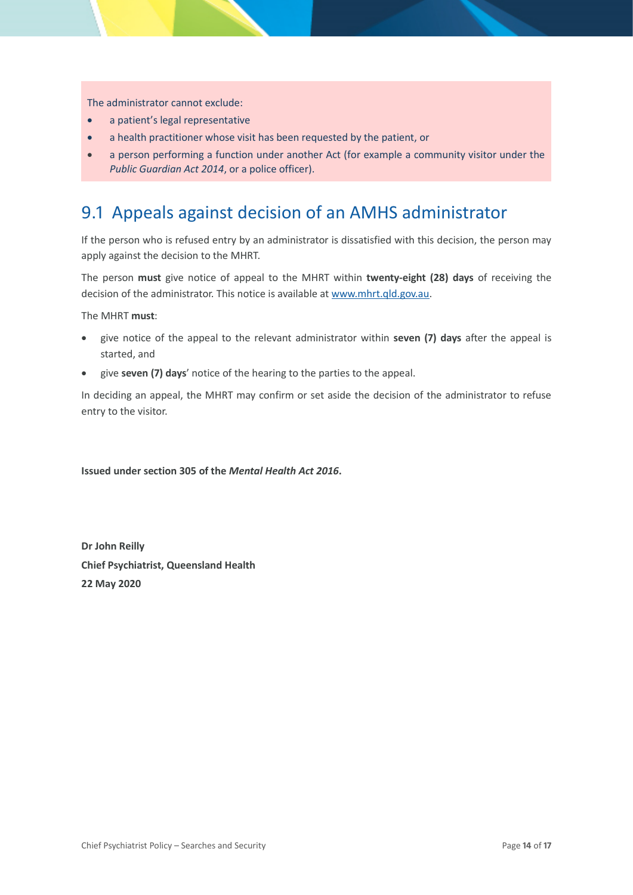The administrator cannot exclude:

- a patient's legal representative
- a health practitioner whose visit has been requested by the patient, or
- a person performing a function under another Act (for example a community visitor under the *Public Guardian Act 2014*, or a police officer).

### <span id="page-13-0"></span>9.1 Appeals against decision of an AMHS administrator

If the person who is refused entry by an administrator is dissatisfied with this decision, the person may apply against the decision to the MHRT.

The person **must** give notice of appeal to the MHRT within **twenty-eight (28) days** of receiving the decision of the administrator. This notice is available a[t www.mhrt.qld.gov.au.](http://www.mhrt.qld.gov.au/)

The MHRT **must**:

- give notice of the appeal to the relevant administrator within **seven (7) days** after the appeal is started, and
- give **seven (7) days**' notice of the hearing to the parties to the appeal.

In deciding an appeal, the MHRT may confirm or set aside the decision of the administrator to refuse entry to the visitor.

**Issued under section 305 of the** *Mental Health Act 2016***.**

**Dr John Reilly Chief Psychiatrist, Queensland Health 22 May 2020**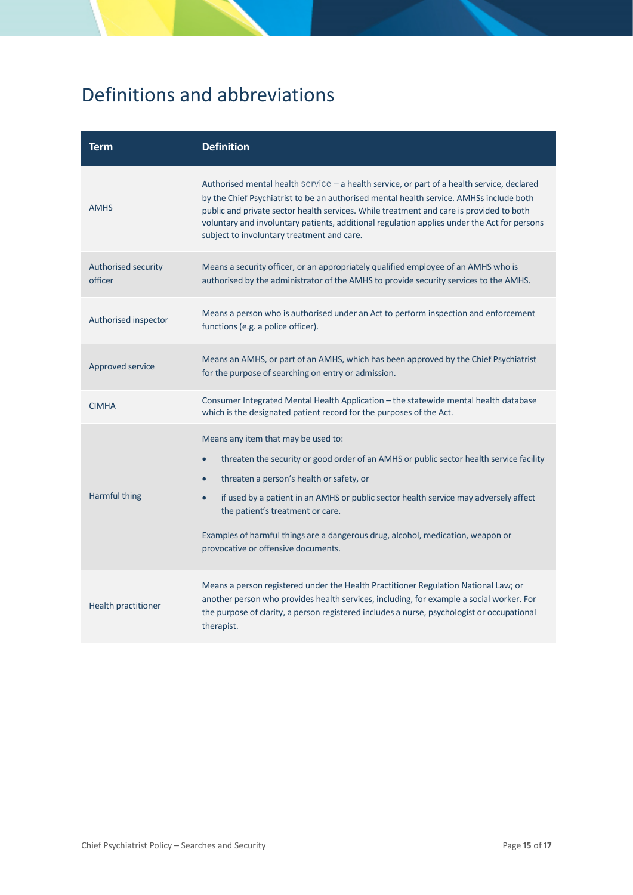## <span id="page-14-0"></span>Definitions and abbreviations

| Term                           | <b>Definition</b>                                                                                                                                                                                                                                                                                                                                                                                                                             |  |  |
|--------------------------------|-----------------------------------------------------------------------------------------------------------------------------------------------------------------------------------------------------------------------------------------------------------------------------------------------------------------------------------------------------------------------------------------------------------------------------------------------|--|--|
| <b>AMHS</b>                    | Authorised mental health service $-$ a health service, or part of a health service, declared<br>by the Chief Psychiatrist to be an authorised mental health service. AMHSs include both<br>public and private sector health services. While treatment and care is provided to both<br>voluntary and involuntary patients, additional regulation applies under the Act for persons<br>subject to involuntary treatment and care.               |  |  |
| Authorised security<br>officer | Means a security officer, or an appropriately qualified employee of an AMHS who is<br>authorised by the administrator of the AMHS to provide security services to the AMHS.                                                                                                                                                                                                                                                                   |  |  |
| Authorised inspector           | Means a person who is authorised under an Act to perform inspection and enforcement<br>functions (e.g. a police officer).                                                                                                                                                                                                                                                                                                                     |  |  |
| Approved service               | Means an AMHS, or part of an AMHS, which has been approved by the Chief Psychiatrist<br>for the purpose of searching on entry or admission.                                                                                                                                                                                                                                                                                                   |  |  |
| <b>CIMHA</b>                   | Consumer Integrated Mental Health Application - the statewide mental health database<br>which is the designated patient record for the purposes of the Act.                                                                                                                                                                                                                                                                                   |  |  |
| Harmful thing                  | Means any item that may be used to:<br>threaten the security or good order of an AMHS or public sector health service facility<br>$\bullet$<br>threaten a person's health or safety, or<br>if used by a patient in an AMHS or public sector health service may adversely affect<br>the patient's treatment or care.<br>Examples of harmful things are a dangerous drug, alcohol, medication, weapon or<br>provocative or offensive documents. |  |  |
| Health practitioner            | Means a person registered under the Health Practitioner Regulation National Law; or<br>another person who provides health services, including, for example a social worker. For<br>the purpose of clarity, a person registered includes a nurse, psychologist or occupational<br>therapist.                                                                                                                                                   |  |  |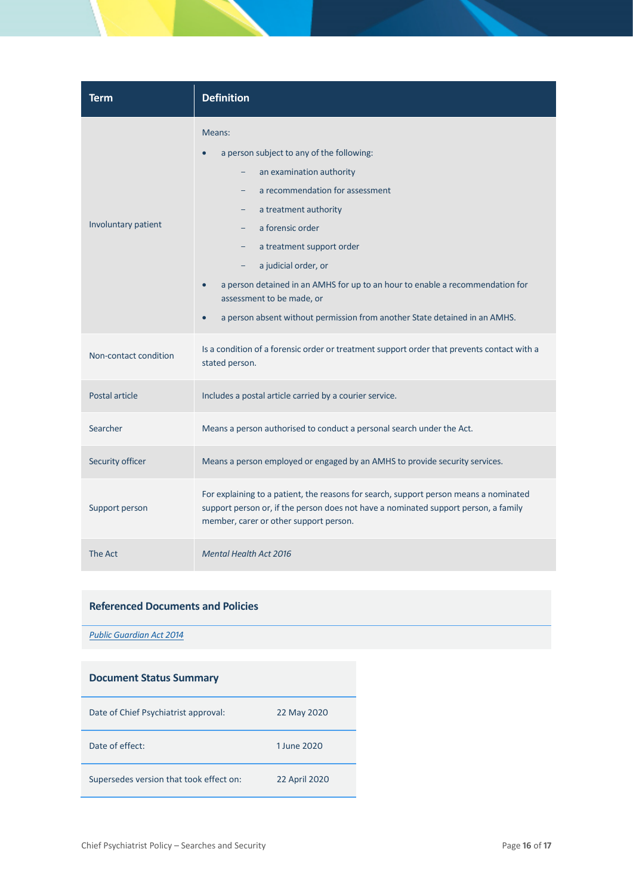| Term                  | <b>Definition</b>                                                                                                                                                                                                                                                                                                                                                                                                                                                                                                           |
|-----------------------|-----------------------------------------------------------------------------------------------------------------------------------------------------------------------------------------------------------------------------------------------------------------------------------------------------------------------------------------------------------------------------------------------------------------------------------------------------------------------------------------------------------------------------|
| Involuntary patient   | Means:<br>a person subject to any of the following:<br>an examination authority<br>-<br>a recommendation for assessment<br>$\overline{\phantom{0}}$<br>a treatment authority<br>-<br>a forensic order<br>a treatment support order<br>$\overline{\phantom{a}}$<br>a judicial order, or<br>$\overline{\phantom{a}}$<br>a person detained in an AMHS for up to an hour to enable a recommendation for<br>assessment to be made, or<br>a person absent without permission from another State detained in an AMHS.<br>$\bullet$ |
| Non-contact condition | Is a condition of a forensic order or treatment support order that prevents contact with a<br>stated person.                                                                                                                                                                                                                                                                                                                                                                                                                |
| Postal article        | Includes a postal article carried by a courier service.                                                                                                                                                                                                                                                                                                                                                                                                                                                                     |
| Searcher              | Means a person authorised to conduct a personal search under the Act.                                                                                                                                                                                                                                                                                                                                                                                                                                                       |
| Security officer      | Means a person employed or engaged by an AMHS to provide security services.                                                                                                                                                                                                                                                                                                                                                                                                                                                 |
| Support person        | For explaining to a patient, the reasons for search, support person means a nominated<br>support person or, if the person does not have a nominated support person, a family<br>member, carer or other support person.                                                                                                                                                                                                                                                                                                      |
| The Act               | <b>Mental Health Act 2016</b>                                                                                                                                                                                                                                                                                                                                                                                                                                                                                               |

#### **Referenced Documents and Policies**

*[Public Guardian Act 2014](https://www.legislation.qld.gov.au/view/html/inforce/current/act-2014-026)*

| <b>Document Status Summary</b>          |               |
|-----------------------------------------|---------------|
| Date of Chief Psychiatrist approval:    | 22 May 2020   |
| Date of effect:                         | 1 June 2020   |
| Supersedes version that took effect on: | 22 April 2020 |